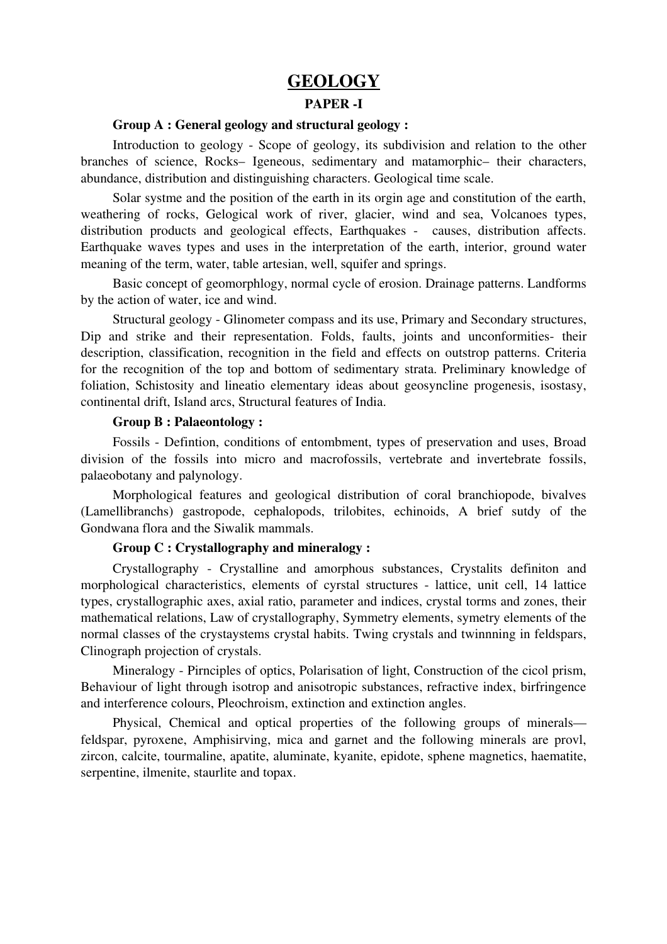# GEOLOGY

### PAPER -I

## Group A : General geology and structural geology :

Introduction to geology - Scope of geology, its subdivision and relation to the other branches of science, Rocks– Igeneous, sedimentary and matamorphic– their characters, abundance, distribution and distinguishing characters. Geological time scale.

Solar systme and the position of the earth in its orgin age and constitution of the earth, weathering of rocks, Gelogical work of river, glacier, wind and sea, Volcanoes types, distribution products and geological effects, Earthquakes - causes, distribution affects. Earthquake waves types and uses in the interpretation of the earth, interior, ground water meaning of the term, water, table artesian, well, squifer and springs.

Basic concept of geomorphlogy, normal cycle of erosion. Drainage patterns. Landforms by the action of water, ice and wind.

Structural geology - Glinometer compass and its use, Primary and Secondary structures, Dip and strike and their representation. Folds, faults, joints and unconformities- their description, classification, recognition in the field and effects on outstrop patterns. Criteria for the recognition of the top and bottom of sedimentary strata. Preliminary knowledge of foliation, Schistosity and lineatio elementary ideas about geosyncline progenesis, isostasy, continental drift, Island arcs, Structural features of India.

### Group B : Palaeontology :

Fossils Defintion, conditions of entombment, types of preservation and uses, Broad division of the fossils into micro and macrofossils, vertebrate and invertebrate fossils, palaeobotany and palynology.

Morphological features and geological distribution of coral branchiopode, bivalves (Lamellibranchs) gastropode, cephalopods, trilobites, echinoids, A brief sutdy of the Gondwana flora and the Siwalik mammals.

## Group C : Crystallography and mineralogy :

Crystallography - Crystalline and amorphous substances, Crystalits definiton and morphological characteristics, elements of cyrstal structures - lattice, unit cell, 14 lattice types, crystallographic axes, axial ratio, parameter and indices, crystal torms and zones, their mathematical relations, Law of crystallography, Symmetry elements, symetry elements of the normal classes of the crystaystems crystal habits. Twing crystals and twinnning in feldspars, Clinograph projection of crystals.

Mineralogy - Pirnciples of optics, Polarisation of light, Construction of the cicol prism, Behaviour of light through isotrop and anisotropic substances, refractive index, birfringence and interference colours, Pleochroism, extinction and extinction angles.

Physical, Chemical and optical properties of the following groups of minerals feldspar, pyroxene, Amphisirving, mica and garnet and the following minerals are provl, zircon, calcite, tourmaline, apatite, aluminate, kyanite, epidote, sphene magnetics, haematite, serpentine, ilmenite, staurlite and topax.